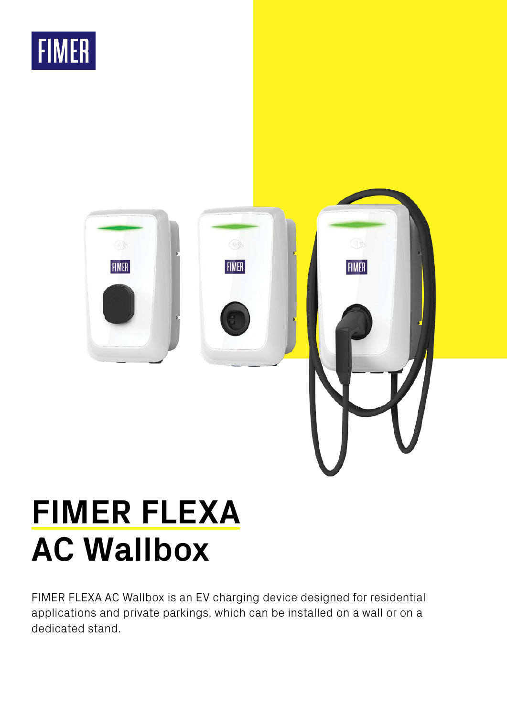



# **FIMER FLEXA AC Wallbox**

FIMER FLEXA AC Wallbox is an EV charging device designed for residential applications and private parkings, which can be installed on a wall or on a dedicated stand.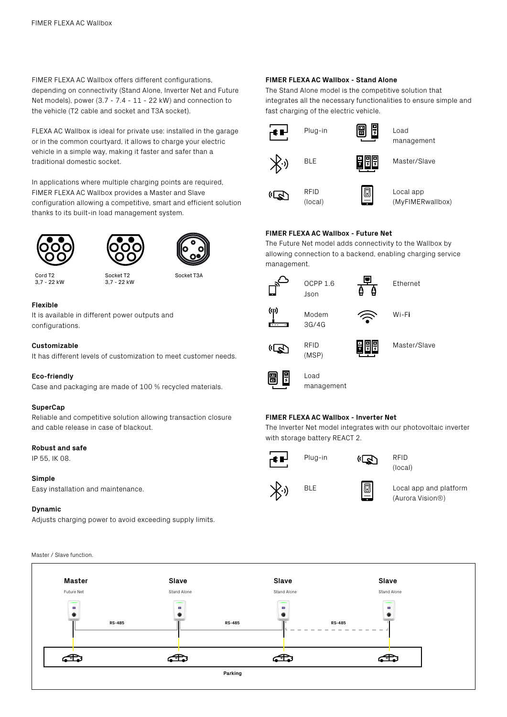FIMER FLEXA AC Wallbox offers different configurations, depending on connectivity (Stand Alone, Inverter Net and Future Net models), power (3.7 - 7.4 - 11 - 22 kW) and connection to the vehicle (T2 cable and socket and T3A socket).

FLEXA AC Wallbox is ideal for private use: installed in the garage or in the common courtyard, it allows to charge your electric vehicle in a simple way, making it faster and safer than a traditional domestic socket.

In applications where multiple charging points are required, FIMER FLEXA AC Wallbox provides a Master and Slave configuration allowing a competitive, smart and efficient solution thanks to its built-in load management system.







Socket T3A

Cord T2 3,7 - 22 kW

Socket T2 3,7 - 22 kW

# **Flexible**

It is available in different power outputs and configurations.

#### **Customizable**

It has different levels of customization to meet customer needs.

#### **Eco-friendly**

Case and packaging are made of 100 % recycled materials.

#### **SuperCap**

Reliable and competitive solution allowing transaction closure and cable release in case of blackout.

#### **Robust and safe**

IP 55, IK 08.

#### **Simple**

Easy installation and maintenance.

#### **Dynamic**

Master / Slave function.

Adjusts charging power to avoid exceeding supply limits.

**FIMER FLEXA AC Wallbox - Stand Alone** The Stand Alone model is the competitive solution that

integrates all the necessary functionalities to ensure simple and fast charging of the electric vehicle.



# **FIMER FLEXA AC Wallbox - Future Net**

OCPP 1.6 Json

The Future Net model adds connectivity to the Wallbox by allowing connection to a backend, enabling charging service management.









 $\widehat{\epsilon}$ 

RFID (MSP) Master/Slave



Load management

### **FIMER FLEXA AC Wallbox - Inverter Net**

The Inverter Net model integrates with our photovoltaic inverter with storage battery REACT 2.





Plug-in (R) RFID (local)



BLE **II I**I Local app and platform (Aurora Vision®)

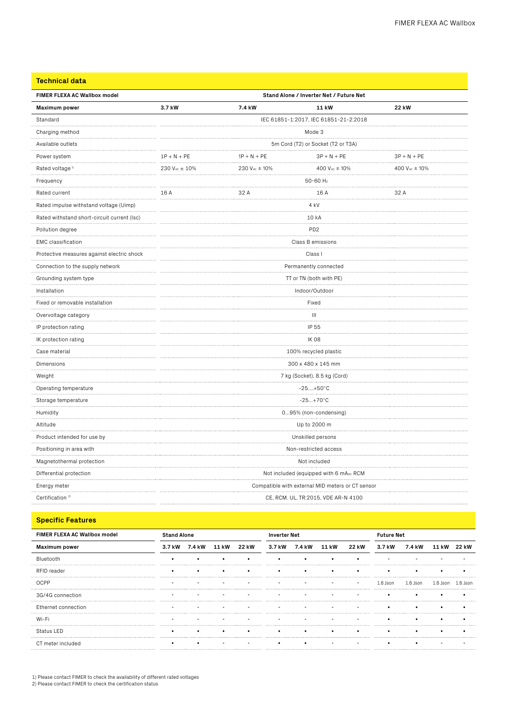**Technical data**

| FIMER FLEXA AC Wallbox model                | Stand Alone / Inverter Net / Future Net          |               |                                        |                                 |  |  |  |
|---------------------------------------------|--------------------------------------------------|---------------|----------------------------------------|---------------------------------|--|--|--|
| <b>Maximum power</b>                        | 3.7 kW                                           | 7.4 kW        | 11 kW                                  | <b>22 kW</b>                    |  |  |  |
| Standard                                    | IEC 61851-1:2017, IEC 61851-21-2:2018            |               |                                        |                                 |  |  |  |
| Charging method                             | Mode 3                                           |               |                                        |                                 |  |  |  |
| Available outlets<br>                       | 5m Cord (T2) or Socket (T2 or T3A)               |               |                                        |                                 |  |  |  |
| Power system                                | $1P + N + PE$                                    | $3P + N + PE$ |                                        |                                 |  |  |  |
| Rated voltage <sup>1)</sup><br>.            | 230 VAC ± 10%                                    | 230 VAC ± 10% | 400 VAC ± 10%                          | $400$ V <sub>AC</sub> $\pm$ 10% |  |  |  |
| Frequency<br>.                              |                                                  |               | 50-60 Hz<br>.                          |                                 |  |  |  |
| Rated current                               | 16 A                                             | 32 A          | 16 A                                   | 32 A                            |  |  |  |
| Rated impulse withstand voltage (Uimp)      | 4 kV                                             |               |                                        |                                 |  |  |  |
| Rated withstand short-circuit current (Isc) | 10 kA                                            |               |                                        |                                 |  |  |  |
| Pollution degree                            | PD <sub>2</sub>                                  |               |                                        |                                 |  |  |  |
| <b>EMC</b> classification                   | Class B emissions                                |               |                                        |                                 |  |  |  |
| Protective measures against electric shock  | Class I<br>.                                     |               |                                        |                                 |  |  |  |
| Connection to the supply network            | Permanently connected                            |               |                                        |                                 |  |  |  |
| Grounding system type                       | TT or TN (both with PE)                          |               |                                        |                                 |  |  |  |
| Installation                                | Indoor/Outdoor                                   |               |                                        |                                 |  |  |  |
| Fixed or removable installation             | Fixed                                            |               |                                        |                                 |  |  |  |
| Overvoltage category                        | $\mathbf{III}$                                   |               |                                        |                                 |  |  |  |
| IP protection rating                        |                                                  |               | IP 55                                  |                                 |  |  |  |
| IK protection rating                        | <b>IK08</b>                                      |               |                                        |                                 |  |  |  |
| Case material<br>.                          | .<br>100% recycled plastic                       |               |                                        |                                 |  |  |  |
| Dimensions                                  | 300 x 480 x 145 mm                               |               |                                        |                                 |  |  |  |
| Weight                                      | 7 kg (Socket), 8.5 kg (Cord)                     |               |                                        |                                 |  |  |  |
| Operating temperature                       | $-25+50^{\circ}C$                                |               |                                        |                                 |  |  |  |
| Storage temperature                         | $-25+70^{\circ}C$                                |               |                                        |                                 |  |  |  |
| Humidity<br>.                               | 095% (non-condensing)                            |               |                                        |                                 |  |  |  |
| Altitude                                    | Up to 2000 m                                     |               |                                        |                                 |  |  |  |
| Product intended for use by                 | Unskilled persons                                |               |                                        |                                 |  |  |  |
| Positioning in area with                    | Non-restricted access                            |               |                                        |                                 |  |  |  |
| Magnetothermal protection                   | Not included                                     |               |                                        |                                 |  |  |  |
| Differential protection                     |                                                  |               | Not included (equipped with 6 mApc RCM |                                 |  |  |  |
| Energy meter<br>.                           | Compatible with external MID meters or CT sensor |               |                                        |                                 |  |  |  |
| Certification <sup>2)</sup>                 | CE, RCM. UL, TR:2015, VDE AR-N 4100              |               |                                        |                                 |  |  |  |

# **Specific Features**

| FIMER FLEXA AC Wallbox model | <b>Stand Alone</b> |                     |  | <b>Inverter Net</b> |        |        | <b>Future Net</b> |       |          |            |            |            |
|------------------------------|--------------------|---------------------|--|---------------------|--------|--------|-------------------|-------|----------|------------|------------|------------|
| <b>Maximum power</b>         |                    | 3.7 kW 7.4 kW 11 kW |  | 22 kW               | 3.7 kW | 7.4 kW | 11 kW             | 22 kW | 3.7 kW   | 7.4 kW     | 11 kW      | 22 kW      |
| Bluetooth                    |                    |                     |  |                     |        |        |                   |       |          |            |            |            |
| RFID reader                  |                    |                     |  |                     |        |        |                   |       |          |            |            |            |
| <b>OCPP</b>                  |                    |                     |  |                     |        |        |                   |       | 1.6 Json | $1.6$ Ison | $1.6$ Ison | $1.6$ Ison |
| 3G/4G connection             |                    |                     |  |                     |        |        |                   |       |          |            |            |            |
| Ethernet connection          |                    |                     |  |                     |        |        |                   |       |          |            |            |            |
| Wi-Fi                        |                    |                     |  |                     |        |        |                   |       |          |            |            |            |
| Status LED                   |                    |                     |  |                     |        |        |                   |       |          |            |            |            |
| CT meter included            |                    |                     |  |                     |        |        |                   |       |          |            |            |            |

1) Please contact FIMER to check the availability of different rated voltages 2) Please contact FIMER to check the certification status